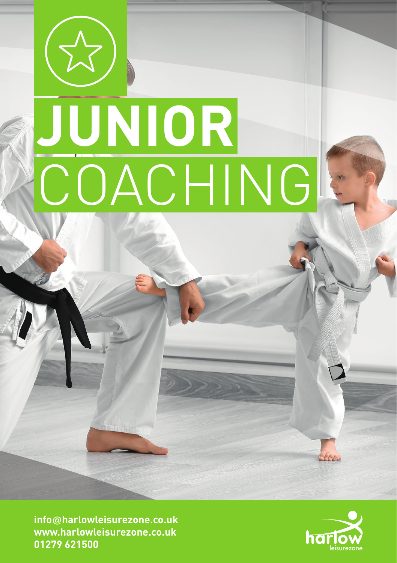# **JUNIOR** COACHING

**info@harlowleisurezone.co.uk www.harlowleisurezone.co.uk 01279 621500**